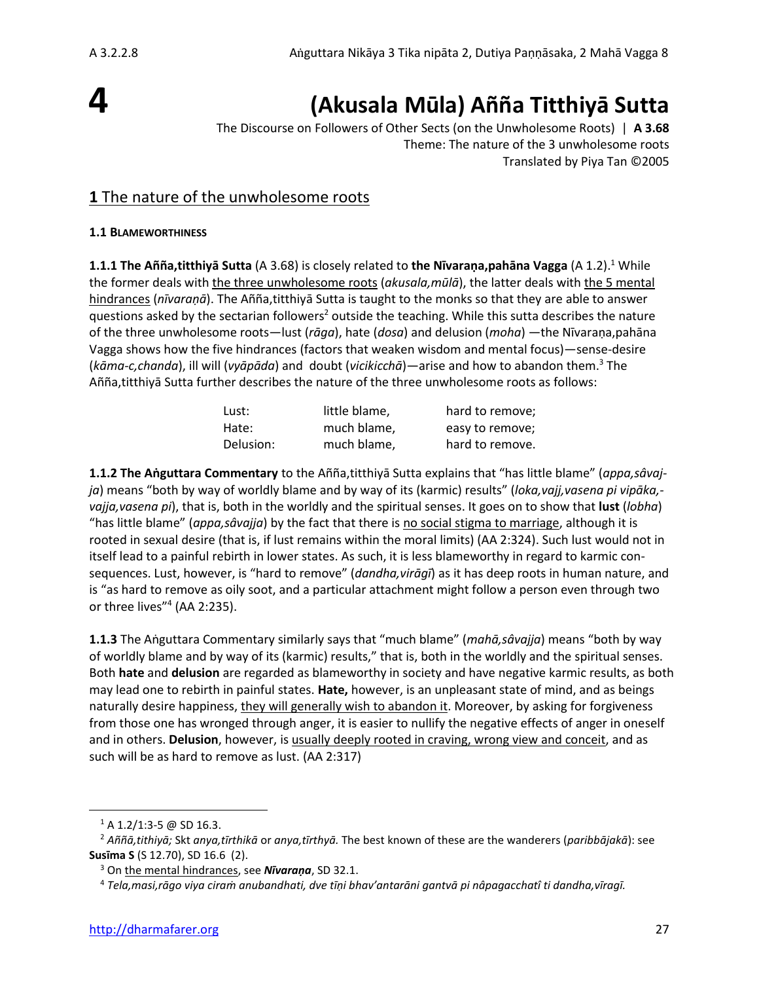# **4**

## **(Akusala Mūla) Añña Titthiyā Sutta**

The Discourse on Followers of Other Sects (on the Unwholesome Roots) | **A 3.68** Theme: The nature of the 3 unwholesome roots Translated by Piya Tan ©2005

## **1** The nature of the unwholesome roots

#### **1.1 BLAMEWORTHINESS**

**1.1.1 The Añña,titthiyā Sutta** (A 3.68) is closely related to **the Nīvaraṇa,pahāna Vagga** (A 1.2).<sup>1</sup> While the former deals with the three unwholesome roots (*akusala,mūlā*), the latter deals with the 5 mental hindrances (*nīvaraṇā*). The Añña,titthiyā Sutta is taught to the monks so that they are able to answer questions asked by the sectarian followers<sup>2</sup> outside the teaching. While this sutta describes the nature of the three unwholesome roots—lust (*rāga*), hate (*dosa*) and delusion (*moha*) —the Nīvaraṇa,pahāna Vagga shows how the five hindrances (factors that weaken wisdom and mental focus)—sense-desire (*kāma-c,chanda*), ill will (*vyāpāda*) and doubt (*vicikicchā*)—arise and how to abandon them.<sup>3</sup> The Añña,titthiyā Sutta further describes the nature of the three unwholesome roots as follows:

| Lust:     | little blame, | hard to remove; |
|-----------|---------------|-----------------|
| Hate:     | much blame,   | easy to remove; |
| Delusion: | much blame.   | hard to remove. |

**1.1.2 The Aṅguttara Commentary** to the Añña,titthiyā Sutta explains that "has little blame" (*appa,sâvajja*) means "both by way of worldly blame and by way of its (karmic) results" (*loka,vajj,vasena pi vipāka, vajja,vasena pi*), that is, both in the worldly and the spiritual senses. It goes on to show that **lust** (*lobha*) "has little blame" (*appa,sâvajja*) by the fact that there is no social stigma to marriage, although it is rooted in sexual desire (that is, if lust remains within the moral limits) (AA 2:324). Such lust would not in itself lead to a painful rebirth in lower states. As such, it is less blameworthy in regard to karmic consequences. Lust, however, is "hard to remove" (*dandha,virāgī*) as it has deep roots in human nature, and is "as hard to remove as oily soot, and a particular attachment might follow a person even through two or three lives"<sup>4</sup> (AA 2:235).

**1.1.3** The Aṅguttara Commentary similarly says that "much blame" (*mahā,sâvajja*) means "both by way of worldly blame and by way of its (karmic) results," that is, both in the worldly and the spiritual senses. Both **hate** and **delusion** are regarded as blameworthy in society and have negative karmic results, as both may lead one to rebirth in painful states. **Hate,** however, is an unpleasant state of mind, and as beings naturally desire happiness, they will generally wish to abandon it. Moreover, by asking for forgiveness from those one has wronged through anger, it is easier to nullify the negative effects of anger in oneself and in others. **Delusion**, however, is usually deeply rooted in craving, wrong view and conceit, and as such will be as hard to remove as lust. (AA 2:317)

 $1$  A 1.2/1:3-5 @ SD 16.3.

<sup>2</sup> *Aññā,tithiyā;* Skt *anya,tīrthikā* or *anya,tīrthyā.* The best known of these are the wanderers (*paribbājakā*): see **Susīma S** (S 12.70), SD 16.6 (2).

<sup>3</sup> On the mental hindrances, see *Nīvaraṇa*, SD 32.1.

<sup>4</sup> *Tela,masi,rāgo viya ciraṁ anubandhati, dve tīṇi bhav'antarāni gantvā pi nâpagacchatî ti dandha,vīragī.*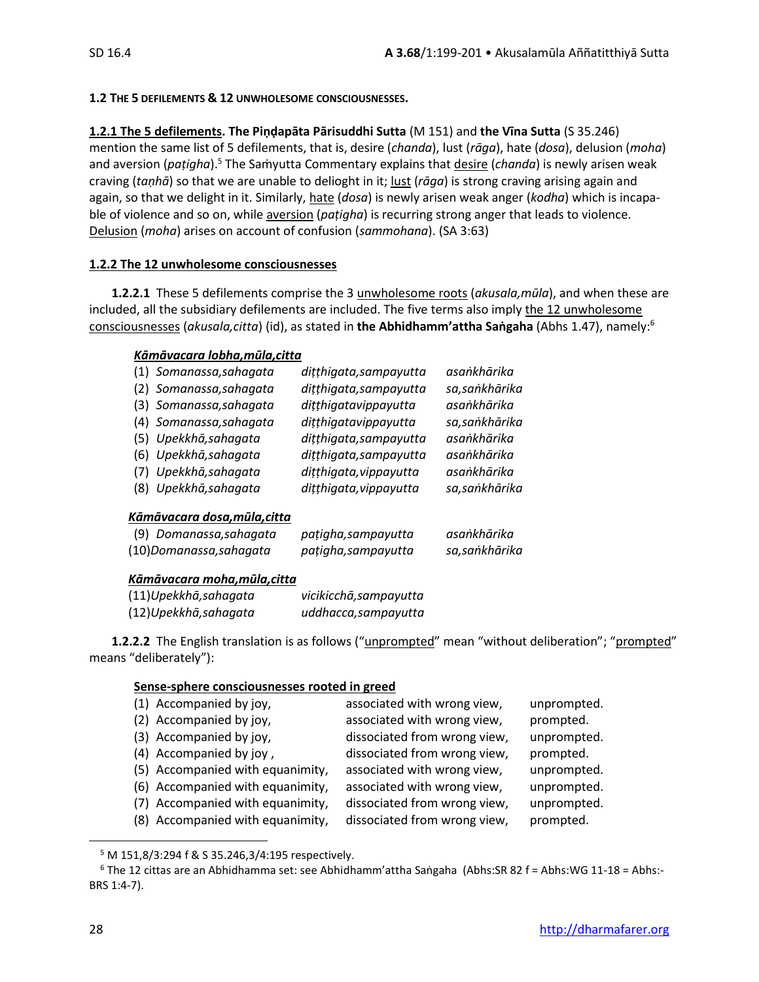#### **1.2 THE 5 DEFILEMENTS & 12 UNWHOLESOME CONSCIOUSNESSES.**

#### **1.2.1 The 5 defilements. The Piṇḍapāta Pārisuddhi Sutta** (M 151) and **the Vīna Sutta** (S 35.246)

mention the same list of 5 defilements, that is, desire (*chanda*), lust (*rāga*), hate (*dosa*), delusion (*moha*) and aversion (*paṭigha*).<sup>5</sup> The Saṁyutta Commentary explains that desire (*chanda*) is newly arisen weak craving (*taṇhā*) so that we are unable to delioght in it; lust (*rāga*) is strong craving arising again and again, so that we delight in it. Similarly, hate (*dosa*) is newly arisen weak anger (*kodha*) which is incapable of violence and so on, while aversion (*paṭigha*) is recurring strong anger that leads to violence. Delusion (*moha*) arises on account of confusion (*sammohana*). (SA 3:63)

#### **1.2.2 The 12 unwholesome consciousnesses**

**1.2.2.1** These 5 defilements comprise the 3 unwholesome roots (*akusala,mūla*), and when these are included, all the subsidiary defilements are included. The five terms also imply the 12 unwholesome consciousnesses (*akusala,citta*) (id), as stated in **the Abhidhamm'attha Saṅgaha** (Abhs 1.47), namely:<sup>6</sup>

#### *Kāmāvacara lobha,mūla,citta*

| (1) Somanassa, sahagata | dițțhigata, sampayutta | asankhārika    |
|-------------------------|------------------------|----------------|
| (2) Somanassa, sahagata | dițțhigata, sampayutta | sa, sankhārika |
| (3) Somanassa, sahagata | dițțhigatavippayutta   | asankhārika    |
| (4) Somanassa, sahagata | dițțhigatavippayutta   | sa, sankhārika |
| (5) Upekkhā, sahagata   | dițțhigata, sampayutta | asankhārika    |
| (6) Upekkhā, sahagata   | dițțhigata, sampayutta | asankhārika    |
| (7) Upekkhā, sahagata   | dițțhigata, vippayutta | asankhārika    |
| (8) Upekkhā, sahagata   | dițțhigata, vippayutta | sa, sankhārika |

#### *Kāmāvacara dosa,mūla,citta*

| (9) Domanassa, sahagata | pațigha, sampayutta | asaṅkhārika   |
|-------------------------|---------------------|---------------|
| (10)Domanassa,sahagata  | pațigha, sampayutta | sa,saṅkhārika |

#### *Kāmāvacara moha,mūla,citta*

| (11)Upekkhā, sahagata | vicikicchā, sampayutta |
|-----------------------|------------------------|
| (12)Upekkhā, sahagata | uddhacca, sampayutta   |

**1.2.2.2** The English translation is as follows ("unprompted" mean "without deliberation"; "prompted" means "deliberately"):

#### **Sense-sphere consciousnesses rooted in greed**

| (1) Accompanied by joy,          | associated with wrong view,  | unprompted. |
|----------------------------------|------------------------------|-------------|
| (2) Accompanied by joy,          | associated with wrong view,  | prompted.   |
| (3) Accompanied by joy,          | dissociated from wrong view, | unprompted. |
| (4) Accompanied by joy,          | dissociated from wrong view, | prompted.   |
| (5) Accompanied with equanimity, | associated with wrong view,  | unprompted. |
| (6) Accompanied with equanimity, | associated with wrong view,  | unprompted. |
| (7) Accompanied with equanimity, | dissociated from wrong view, | unprompted. |
| (8) Accompanied with equanimity, | dissociated from wrong view, | prompted.   |
|                                  |                              |             |

<sup>5</sup> M 151,8/3:294 f & S 35.246,3/4:195 respectively.

 $6$  The 12 cittas are an Abhidhamma set: see Abhidhamm'attha Saṅgaha (Abhs:SR 82 f = Abhs:WG 11-18 = Abhs:-BRS 1:4-7).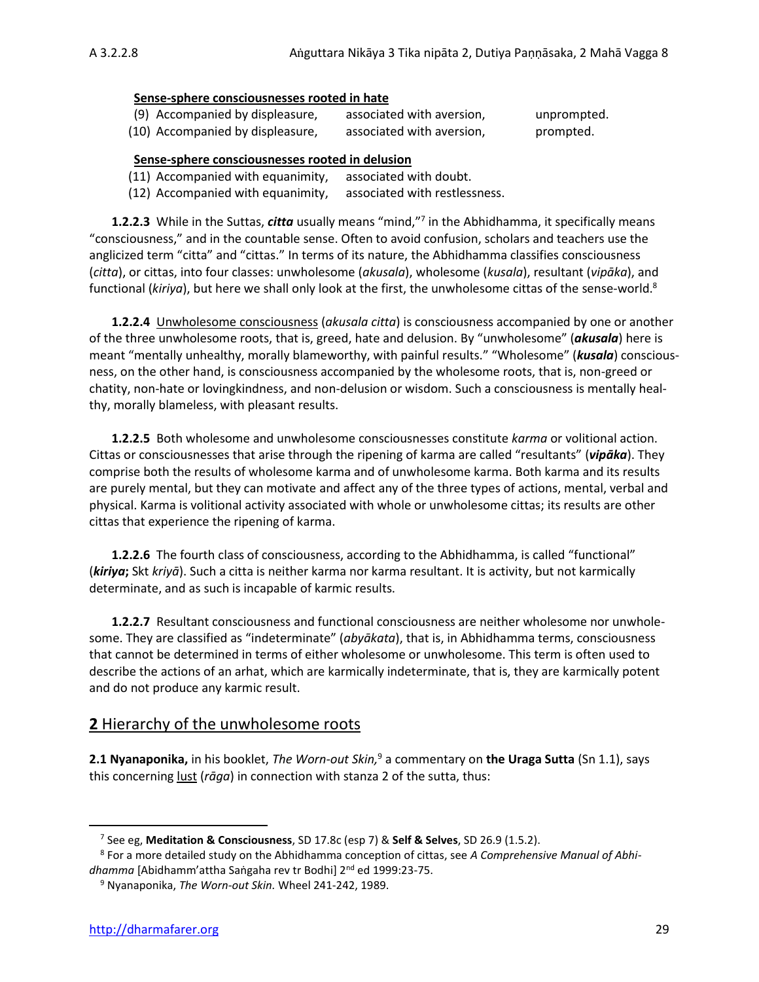#### **Sense-sphere consciousnesses rooted in hate**

| (9) Accompanied by displeasure,  | associated with aversion, | unprompted. |
|----------------------------------|---------------------------|-------------|
| (10) Accompanied by displeasure, | associated with aversion, | prompted.   |

#### **Sense-sphere consciousnesses rooted in delusion**

- (11) Accompanied with equanimity, associated with doubt.
- (12) Accompanied with equanimity, associated with restlessness.

**1.2.2.3** While in the Suttas, *citta* usually means "mind,"<sup>7</sup> in the Abhidhamma, it specifically means "consciousness," and in the countable sense. Often to avoid confusion, scholars and teachers use the anglicized term "citta" and "cittas." In terms of its nature, the Abhidhamma classifies consciousness (*citta*), or cittas, into four classes: unwholesome (*akusala*), wholesome (*kusala*), resultant (*vipāka*), and functional (*kiriya*), but here we shall only look at the first, the unwholesome cittas of the sense-world.<sup>8</sup>

**1.2.2.4** Unwholesome consciousness (*akusala citta*) is consciousness accompanied by one or another of the three unwholesome roots, that is, greed, hate and delusion. By "unwholesome" (*akusala*) here is meant "mentally unhealthy, morally blameworthy, with painful results." "Wholesome" (*kusala*) consciousness, on the other hand, is consciousness accompanied by the wholesome roots, that is, non-greed or chatity, non-hate or lovingkindness, and non-delusion or wisdom. Such a consciousness is mentally healthy, morally blameless, with pleasant results.

**1.2.2.5** Both wholesome and unwholesome consciousnesses constitute *karma* or volitional action. Cittas or consciousnesses that arise through the ripening of karma are called "resultants" (*vipāka*). They comprise both the results of wholesome karma and of unwholesome karma. Both karma and its results are purely mental, but they can motivate and affect any of the three types of actions, mental, verbal and physical. Karma is volitional activity associated with whole or unwholesome cittas; its results are other cittas that experience the ripening of karma.

**1.2.2.6** The fourth class of consciousness, according to the Abhidhamma, is called "functional" (*kiriya***;** Skt *kriyā*). Such a citta is neither karma nor karma resultant. It is activity, but not karmically determinate, and as such is incapable of karmic results.

**1.2.2.7** Resultant consciousness and functional consciousness are neither wholesome nor unwholesome. They are classified as "indeterminate" (*abyākata*), that is, in Abhidhamma terms, consciousness that cannot be determined in terms of either wholesome or unwholesome. This term is often used to describe the actions of an arhat, which are karmically indeterminate, that is, they are karmically potent and do not produce any karmic result.

#### **2** Hierarchy of the unwholesome roots

**2.1 Nyanaponika,** in his booklet, *The Worn-out Skin,*<sup>9</sup> a commentary on **the Uraga Sutta** (Sn 1.1), says this concerning lust (*rāga*) in connection with stanza 2 of the sutta, thus:

<sup>7</sup> See eg, **Meditation & Consciousness**, SD 17.8c (esp 7) & **Self & Selves**, SD 26.9 (1.5.2).

<sup>8</sup> For a more detailed study on the Abhidhamma conception of cittas, see *A Comprehensive Manual of Abhidhamma* [Abidhamm'attha Saṅgaha rev tr Bodhi] 2nd ed 1999:23-75.

<sup>9</sup> Nyanaponika, *The Worn-out Skin.* Wheel 241-242, 1989.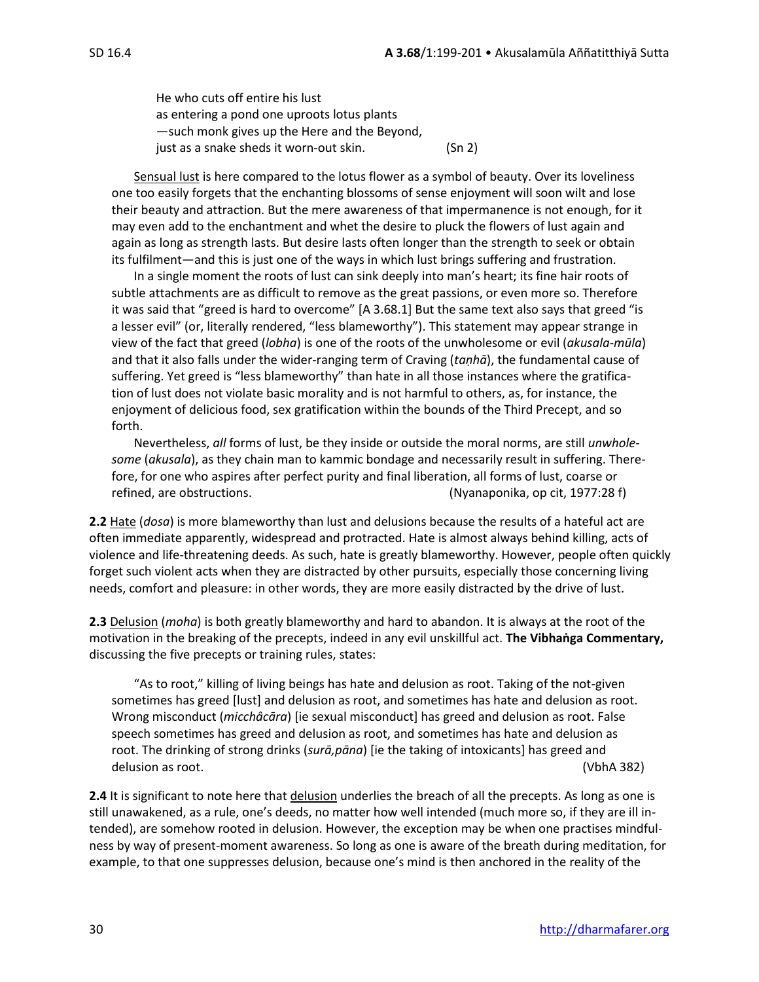He who cuts off entire his lust as entering a pond one uproots lotus plants —such monk gives up the Here and the Beyond, just as a snake sheds it worn-out skin. (Sn 2)

Sensual lust is here compared to the lotus flower as a symbol of beauty. Over its loveliness one too easily forgets that the enchanting blossoms of sense enjoyment will soon wilt and lose their beauty and attraction. But the mere awareness of that impermanence is not enough, for it may even add to the enchantment and whet the desire to pluck the flowers of lust again and again as long as strength lasts. But desire lasts often longer than the strength to seek or obtain its fulfilment—and this is just one of the ways in which lust brings suffering and frustration.

In a single moment the roots of lust can sink deeply into man's heart; its fine hair roots of subtle attachments are as difficult to remove as the great passions, or even more so. Therefore it was said that "greed is hard to overcome" [A 3.68.1] But the same text also says that greed "is a lesser evil" (or, literally rendered, "less blameworthy"). This statement may appear strange in view of the fact that greed (*lobha*) is one of the roots of the unwholesome or evil (*akusala-mūla*) and that it also falls under the wider-ranging term of Craving (*taṇhā*), the fundamental cause of suffering. Yet greed is "less blameworthy" than hate in all those instances where the gratification of lust does not violate basic morality and is not harmful to others, as, for instance, the enjoyment of delicious food, sex gratification within the bounds of the Third Precept, and so forth.

Nevertheless, *all* forms of lust, be they inside or outside the moral norms, are still *unwholesome* (*akusala*), as they chain man to kammic bondage and necessarily result in suffering. Therefore, for one who aspires after perfect purity and final liberation, all forms of lust, coarse or refined, are obstructions. (Nyanaponika, op cit, 1977:28 f)

**2.2** Hate (*dosa*) is more blameworthy than lust and delusions because the results of a hateful act are often immediate apparently, widespread and protracted. Hate is almost always behind killing, acts of violence and life-threatening deeds. As such, hate is greatly blameworthy. However, people often quickly forget such violent acts when they are distracted by other pursuits, especially those concerning living needs, comfort and pleasure: in other words, they are more easily distracted by the drive of lust.

**2.3** Delusion (*moha*) is both greatly blameworthy and hard to abandon. It is always at the root of the motivation in the breaking of the precepts, indeed in any evil unskillful act. **The Vibhaṅga Commentary,** discussing the five precepts or training rules, states:

"As to root," killing of living beings has hate and delusion as root. Taking of the not-given sometimes has greed [lust] and delusion as root, and sometimes has hate and delusion as root. Wrong misconduct (*micchâcāra*) [ie sexual misconduct] has greed and delusion as root. False speech sometimes has greed and delusion as root, and sometimes has hate and delusion as root. The drinking of strong drinks (*surā,pāna*) [ie the taking of intoxicants] has greed and delusion as root. (VbhA 382)

**2.4** It is significant to note here that delusion underlies the breach of all the precepts. As long as one is still unawakened, as a rule, one's deeds, no matter how well intended (much more so, if they are ill intended), are somehow rooted in delusion. However, the exception may be when one practises mindfulness by way of present-moment awareness. So long as one is aware of the breath during meditation, for example, to that one suppresses delusion, because one's mind is then anchored in the reality of the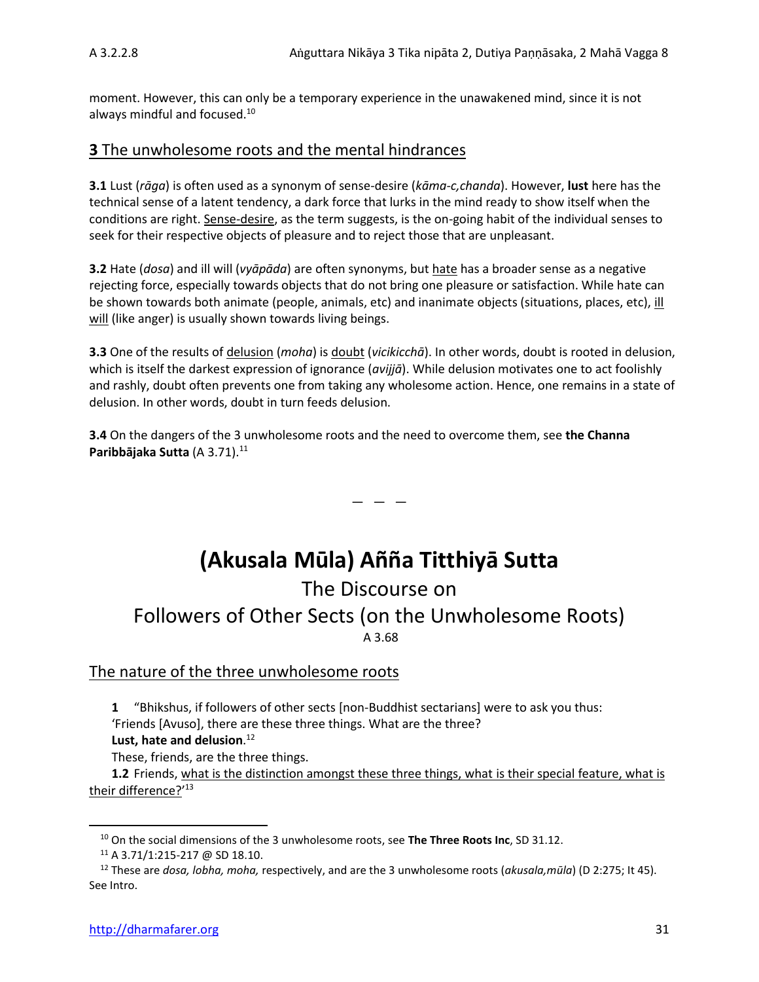moment. However, this can only be a temporary experience in the unawakened mind, since it is not always mindful and focused.<sup>10</sup>

#### **3** The unwholesome roots and the mental hindrances

**3.1** Lust (*rāga*) is often used as a synonym of sense-desire (*kāma-c,chanda*). However, **lust** here has the technical sense of a latent tendency, a dark force that lurks in the mind ready to show itself when the conditions are right. Sense-desire, as the term suggests, is the on-going habit of the individual senses to seek for their respective objects of pleasure and to reject those that are unpleasant.

**3.2** Hate (*dosa*) and ill will (*vyāpāda*) are often synonyms, but hate has a broader sense as a negative rejecting force, especially towards objects that do not bring one pleasure or satisfaction. While hate can be shown towards both animate (people, animals, etc) and inanimate objects (situations, places, etc), ill will (like anger) is usually shown towards living beings.

**3.3** One of the results of delusion (*moha*) is doubt (*vicikicchā*). In other words, doubt is rooted in delusion, which is itself the darkest expression of ignorance (*avijjā*). While delusion motivates one to act foolishly and rashly, doubt often prevents one from taking any wholesome action. Hence, one remains in a state of delusion. In other words, doubt in turn feeds delusion.

**3.4** On the dangers of the 3 unwholesome roots and the need to overcome them, see **the Channa Paribbājaka Sutta (A 3.71).**<sup>11</sup>

# **(Akusala Mūla) Añña Titthiyā Sutta**

— — —

The Discourse on

## Followers of Other Sects (on the Unwholesome Roots) A 3.68

### The nature of the three unwholesome roots

**1** "Bhikshus, if followers of other sects [non-Buddhist sectarians] were to ask you thus: 'Friends [Avuso], there are these three things. What are the three?

**Lust, hate and delusion**. 12

These, friends, are the three things.

**1.2** Friends, what is the distinction amongst these three things, what is their special feature, what is <u>their difference?</u>'<sup>13</sup>

<sup>10</sup> On the social dimensions of the 3 unwholesome roots, see **The Three Roots Inc**, SD 31.12.

<sup>11</sup> A 3.71/1:215-217 @ SD 18.10.

<sup>12</sup> These are *dosa, lobha, moha,* respectively, and are the 3 unwholesome roots (*akusala,mūla*) (D 2:275; It 45). See Intro.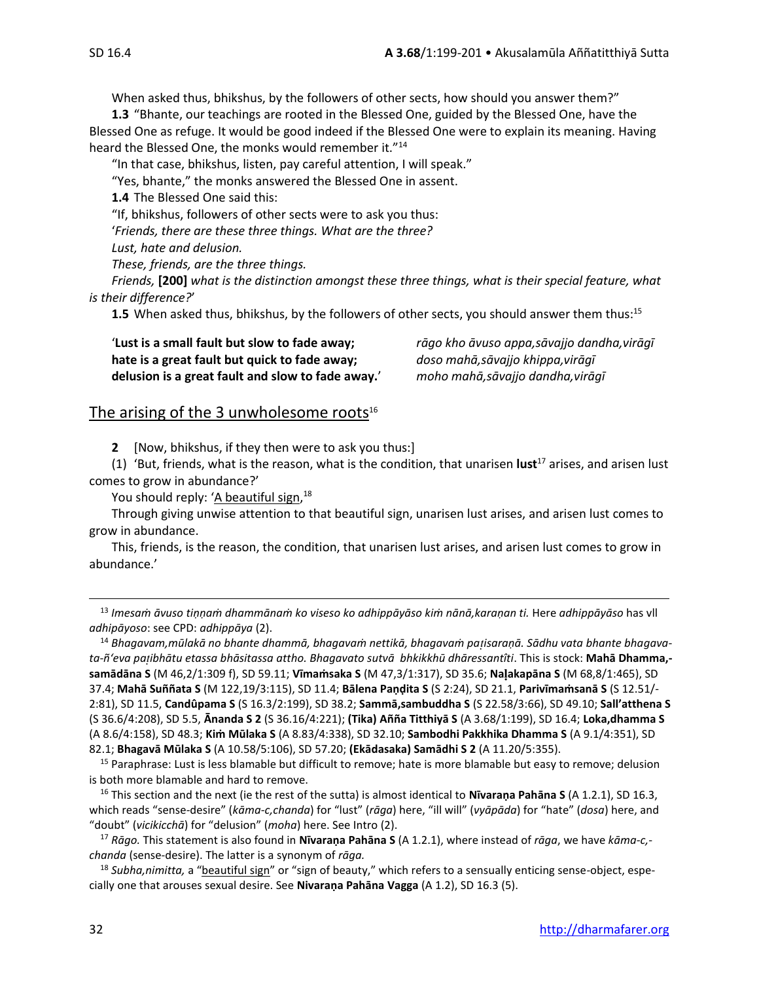When asked thus, bhikshus, by the followers of other sects, how should you answer them?"

**1.3** "Bhante, our teachings are rooted in the Blessed One, guided by the Blessed One, have the Blessed One as refuge. It would be good indeed if the Blessed One were to explain its meaning. Having heard the Blessed One, the monks would remember it."<sup>14</sup>

"In that case, bhikshus, listen, pay careful attention, I will speak."

"Yes, bhante," the monks answered the Blessed One in assent.

**1.4** The Blessed One said this:

"If, bhikshus, followers of other sects were to ask you thus: '*Friends, there are these three things. What are the three?*

*Lust, hate and delusion.*

*These, friends, are the three things.*

*Friends,* **[200]** *what is the distinction amongst these three things, what is their special feature, what is their difference?*'

**1.5** When asked thus, bhikshus, by the followers of other sects, you should answer them thus:<sup>15</sup>

'**Lust is a small fault but slow to fade away;** *rāgo kho āvuso appa,sāvajjo dandha,virāgī* **hate is a great fault but quick to fade away;** *doso mahā,sāvajjo khippa,virāgī* **delusion is a great fault and slow to fade away.**' *moho mahā,sāvajjo dandha,virāgī*

#### The arising of the 3 unwholesome roots $16$

**2** [Now, bhikshus, if they then were to ask you thus:]

(1) 'But, friends, what is the reason, what is the condition, that unarisen **lust**<sup>17</sup> arises, and arisen lust comes to grow in abundance?'

You should reply: '<u>A beautiful sign</u>,<sup>18</sup>

Through giving unwise attention to that beautiful sign, unarisen lust arises, and arisen lust comes to grow in abundance.

This, friends, is the reason, the condition, that unarisen lust arises, and arisen lust comes to grow in abundance.'

<sup>13</sup> Imesam āvuso tiņņam dhammānam ko viseso ko adhippāyāso kim nānā, karaņan ti. Here adhippāyāso has vll *adhipāyoso*: see CPD: *adhippāya* (2).

<sup>14</sup> *Bhagavam,mūlakā no bhante dhammā, bhagavaṁ nettikā, bhagavaṁ paisaraṇā. Sādhu vata bhante bhagavata-ñ'eva paibhātu etassa bhāsitassa attho. Bhagavato sutvā bhkikkhū dhāressantîti*. This is stock: **Mahā Dhamma, samādāna S** (M 46,2/1:309 f), SD 59.11; **Vīmaṁsaka S** (M 47,3/1:317), SD 35.6; **Naakapāna S** (M 68,8/1:465), SD 37.4; **Mahā Suññata S** (M 122,19/3:115), SD 11.4; **Bālena Paṇḍita S** (S 2:24), SD 21.1, **Parivīmaṁsanā S** (S 12.51/- 2:81), SD 11.5, **Candûpama S** (S 16.3/2:199), SD 38.2; **Sammā,sambuddha S** (S 22.58/3:66), SD 49.10; **Sall'atthena S** (S 36.6/4:208), SD 5.5, **Ānanda S 2** (S 36.16/4:221); **(Tika) Añña Titthiyā S** (A 3.68/1:199), SD 16.4; **Loka,dhamma S**  (A 8.6/4:158), SD 48.3; **Kiṁ Mūlaka S** (A 8.83/4:338), SD 32.10; **Sambodhi Pakkhika Dhamma S** (A 9.1/4:351), SD 82.1; **Bhagavā Mūlaka S** (A 10.58/5:106), SD 57.20; **(Ekādasaka) Samādhi S 2** (A 11.20/5:355).

<sup>15</sup> Paraphrase: Lust is less blamable but difficult to remove; hate is more blamable but easy to remove; delusion is both more blamable and hard to remove.

<sup>16</sup> This section and the next (ie the rest of the sutta) is almost identical to **Nīvaraṇa Pahāna S** (A 1.2.1), SD 16.3, which reads "sense-desire" (*kāma-c,chanda*) for "lust" (*rāga*) here, "ill will" (*vyāpāda*) for "hate" (*dosa*) here, and "doubt" (*vicikicchā*) for "delusion" (*moha*) here. See Intro (2).

<sup>17</sup> *Rāgo.* This statement is also found in **Nīvaraṇa Pahāna S** (A 1.2.1), where instead of *rāga*, we have *kāma-c, chanda* (sense-desire). The latter is a synonym of *rāga.*

<sup>18</sup> Subha,nimitta, a "beautiful sign" or "sign of beauty," which refers to a sensually enticing sense-object, especially one that arouses sexual desire. See **Nivaraṇa Pahāna Vagga** (A 1.2), SD 16.3 (5).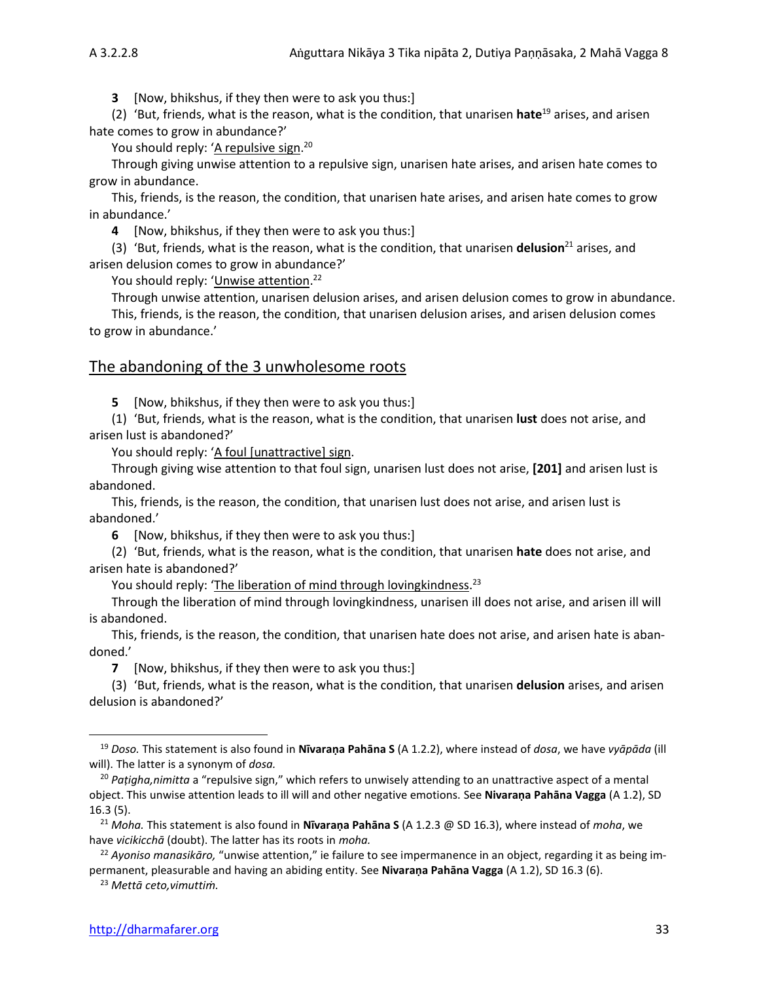**3** [Now, bhikshus, if they then were to ask you thus:]

(2) 'But, friends, what is the reason, what is the condition, that unarisen **hate**<sup>19</sup> arises, and arisen hate comes to grow in abundance?'

You should reply: '<u>A repulsive sign</u>.<sup>20</sup>

Through giving unwise attention to a repulsive sign, unarisen hate arises, and arisen hate comes to grow in abundance.

This, friends, is the reason, the condition, that unarisen hate arises, and arisen hate comes to grow in abundance.'

**4** [Now, bhikshus, if they then were to ask you thus:]

(3) 'But, friends, what is the reason, what is the condition, that unarisen **delusion**<sup>21</sup> arises, and arisen delusion comes to grow in abundance?'

You should reply: '<u>Unwise attention</u>.<sup>22</sup>

Through unwise attention, unarisen delusion arises, and arisen delusion comes to grow in abundance.

This, friends, is the reason, the condition, that unarisen delusion arises, and arisen delusion comes to grow in abundance.'

#### The abandoning of the 3 unwholesome roots

**5** [Now, bhikshus, if they then were to ask you thus:]

(1) 'But, friends, what is the reason, what is the condition, that unarisen **lust** does not arise, and arisen lust is abandoned?'

You should reply: 'A foul [unattractive] sign.

Through giving wise attention to that foul sign, unarisen lust does not arise, **[201]** and arisen lust is abandoned.

This, friends, is the reason, the condition, that unarisen lust does not arise, and arisen lust is abandoned.'

**6** [Now, bhikshus, if they then were to ask you thus:]

(2) 'But, friends, what is the reason, what is the condition, that unarisen **hate** does not arise, and arisen hate is abandoned?'

You should reply: 'The liberation of mind through lovingkindness.<sup>23</sup>

Through the liberation of mind through lovingkindness, unarisen ill does not arise, and arisen ill will is abandoned.

This, friends, is the reason, the condition, that unarisen hate does not arise, and arisen hate is abandoned.'

**7** [Now, bhikshus, if they then were to ask you thus:]

(3) 'But, friends, what is the reason, what is the condition, that unarisen **delusion** arises, and arisen delusion is abandoned?'

<sup>19</sup> *Doso.* This statement is also found in **Nīvaraṇa Pahāna S** (A 1.2.2), where instead of *dosa*, we have *vyāpāda* (ill will). The latter is a synonym of *dosa.*

<sup>20</sup> *Paṭigha,nimitta* a "repulsive sign," which refers to unwisely attending to an unattractive aspect of a mental object. This unwise attention leads to ill will and other negative emotions. See **Nivaraṇa Pahāna Vagga** (A 1.2), SD 16.3 (5).

<sup>21</sup> *Moha.* This statement is also found in **Nīvaraṇa Pahāna S** (A 1.2.3 @ SD 16.3), where instead of *moha*, we have *vicikicchā* (doubt). The latter has its roots in *moha.*

<sup>22</sup> *Ayoniso manasikāro,* "unwise attention," ie failure to see impermanence in an object, regarding it as being impermanent, pleasurable and having an abiding entity*.* See **Nivaraṇa Pahāna Vagga** (A 1.2), SD 16.3 (6).

<sup>23</sup> *Mettā ceto,vimuttiṁ.*